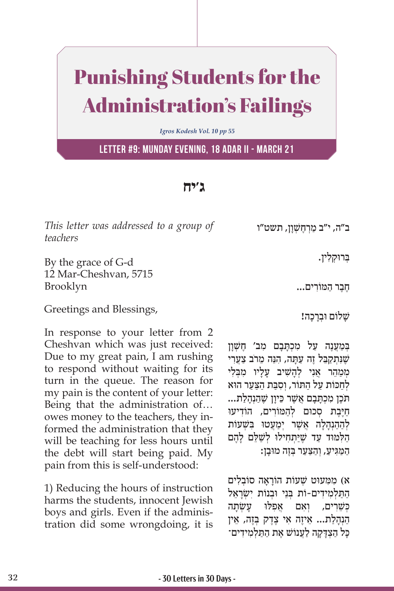## Punishing Students for the Administration's Failings

*Igros Kodesh Vol. 10 pp 55*

**Letter #9: Munday evening, 18 Adar II - March 21**

## **ג'יח**

*This letter was addressed to a group of teachers* 

By the grace of G-d 12 Mar-Cheshvan, 5715 Brooklyn

Greetings and Blessings,

In response to your letter from 2 Cheshvan which was just received: Due to my great pain, I am rushing to respond without waiting for its turn in the queue. The reason for my pain is the content of your letter: Being that the administration of… owes money to the teachers, they informed the administration that they will be teaching for less hours until the debt will start being paid. My pain from this is self-understood:

1) Reducing the hours of instruction harms the students, innocent Jewish boys and girls. Even if the administration did some wrongdoing, it is

ב"ה, י"ב מִרְחָשׁוֹן, תשט"ו

בְּרוּקִלְין.

ֶחֶב ַר ה ּמ ִוֹ רים...

שַׁלוֹם וּבְרַכָה!

בְּמַעֲנֶה עַל מִכְתַּבַם מֵב' חֱשָׁוַן שֵׁנִּתְקַבֵּל זֵה עַתַּה, הָנֵה מֵרֹב צַעֲרִי מִמַהֵר אֲנִי לְהַשִׁיב עַליו מבּלי לחכּוֹת על התּוֹר, וסבּת הצער הוּא ּתֶ ֹכ ִ ן מ ְכָּתָב ֲם אשֶׁ ֵר כּ ָיון שֶׁ ַהְנָהַלת... חיבת סכום להמורים, הוֹדיעוּ לְהַהַנְהָלָה אֲשֶׁר יִמַּעֲטוּ בִּשָּׁעוֹת הַלְּמּוּד עַד שֶׁיַּתְחִילוּ לְשַׁלֵּם לָהֶם ַהַמַּגִּיעַ, וְהַצַּעַר בְּזֶה מוּבָן:

ִ א( מ ִּמ ּעוט שׁ ְ ָ עוֹ ת הוֹ רָא ְ ה סוֹ ב ִלים התלמידים-וֹת בֵני וּבנוֹת ישׂראל כִּשֵׁרִים, וְאם אפלוּ עשׂתה הַנְהַלַת... אֵיזֵה אֵי צֶדֶק בְּזֶה, אֵין ַכּל הצִדִּקה לֹעַנוֹשׁ אֵת הִתְּלְמִידִים־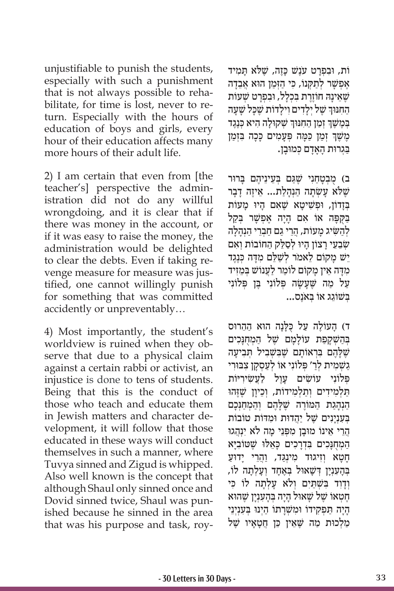unjustifiable to punish the students, especially with such a punishment that is not always possible to rehabilitate, for time is lost, never to return. Especially with the hours of education of boys and girls, every hour of their education affects many more hours of their adult life.

2) I am certain that even from [the teacher's] perspective the administration did not do any willful wrongdoing, and it is clear that if there was money in the account, or if it was easy to raise the money, the administration would be delighted to clear the debts. Even if taking revenge measure for measure was justified, one cannot willingly punish for something that was committed accidently or unpreventably…

4) Most importantly, the student's worldview is ruined when they observe that due to a physical claim against a certain rabbi or activist, an injustice is done to tens of students. Being that this is the conduct of those who teach and educate them in Jewish matters and character development, it will follow that those educated in these ways will conduct themselves in such a manner, where Tuvya sinned and Zigud is whipped. Also well known is the concept that although Shaul only sinned once and Dovid sinned twice, Shaul was punished because he sinned in the area that was his purpose and task, roy-

ּוֹת, וּבְפְרַט עֹנֵשׁ כַּזֶה, שֵׁלֹּא תַּמִיד אפשר לתקנו, כי הזמן הוא אבדה שֵׁאֵינַהּ חוֹזֶרֶת בְּכְלַל, וּבְפְרַט שָׁעוֹת הַחִנּוּךְ שֶׁל יְלָדִים וִילָדוֹת שֶׁכָּל שָׁעָה כְּמֶשֶׁךְ זְמַן הַחִנּוּךְ שְׁקוּלָה הִיא כְּנֶגֶד ֧֧֖֖֖֖֖֖֖֧֚֚֚֚֚֚֚֚֝֝֬<u>֓</u> ְָמֶשֶׁךְ זְמַן כַּמֶּה פְּעָמִים כָּכָה בִּזְמַן ַבְּגִרוּת הָאָדָם כְּמוּבָן.

ָב) מִבְטַחָנִי שֵׁגַּם בְּעֵינֵיהֶם בַּרוּר שָׁלֹא עַשְׂתַה הַנְהַלַת... אֵיזֶה דַבַר בְּזַדוֹן, וּפִשִׁיטַא שֵׁאָם הַיוּ מַעוֹת ַבַּקִפָּה אוֹ אִם הָיַה אֵפְשָׁר בְּקַל לְהַשִּׂיג מַעוֹת, הֲרֵי גַם חַבְרֵי הַנְהָלָה שְׂבֵעֵי רָצוֹן הָיוּ לְסַלֵּק הַחוֹבוֹת וְאִם יֵשׁ מָקוֹם לֵאמֹר לְשַׁלֵּם מִדָּה כְּנֶגֶד מִדָּה אֵין מַקוֹם לוֹמֵר לַעֲנוֹשׁ בִּמִזיד ַעֲל מַה שֶׁעֲשָׂה פְּלוֹנִי בֵּן פְּלוֹנִי ְּב ֵשׁ וֹ ג ְּ ג אוֹ ב ֶאֹנס...

ּד) הָעוֹלֶה עַל כְּלָנָה הוּא הַהֵרוּס בְּהַשְׁקַפָּת עוֹלָמַם שֶׁל הַמְחָנָכִים שֶׁלָּהֶם בִּרְאוֹתָם שֶׁבִּשְׁבִיל תְּבִיעָה ַגַשְׁמִית לְרַ׳ פְּלוֹנִי אוֹ לְעַסְקַן צִבּוּרִי פְּלוֹנִי עוֹשִׂים עֲוֵל לַעֲשִׂירִיּוֹת ַתַּלְמִידִים וְתַלְמִידוֹת, וְכֵיוַן שֵׁזֶּהוּ הַנְהָגַת הַמּוֹרֶה שֶׁלָּהֶם וְהַמְחַנְּכָם ַבְּעָנִינים שֵׁל יהדוּת וּמדּוֹת טוֹבוֹת ַהֲרֵי אֵינוֹ מוּבַן מִפְּנֵי מַה לֹא יְנִהֲגוּ הַמְחֻנָּכִים בִּדְרָכִים כָּאֵלוּ שֶׁטּוֹבִיָּא ַחֲטַא וְזִיגוּד מִינְגֵּד, <u>וְהָרֵ</u>י יַדוּעַ ָבְּהְעַנִין דְּשָׁאוּל בְּאָחד וְעַלְתָה לוֹ וְדַוְד בִּשְׁתַּיִם וְלֹא עַלְתָה לוֹ כִּי ְחֵטְאוֹ שֵׁל שַׁאוּל היה בַּהעִנִין שֵׁהוּא ָהָיָה תַפְקִידוֹ וּמַשְׁרַתוֹ הַיְנוּ בְּעָנְיְנֵי ַמַלְכוּת מַה שֵׁאֵין כֵּן חֲטַאַיו שֵׁל